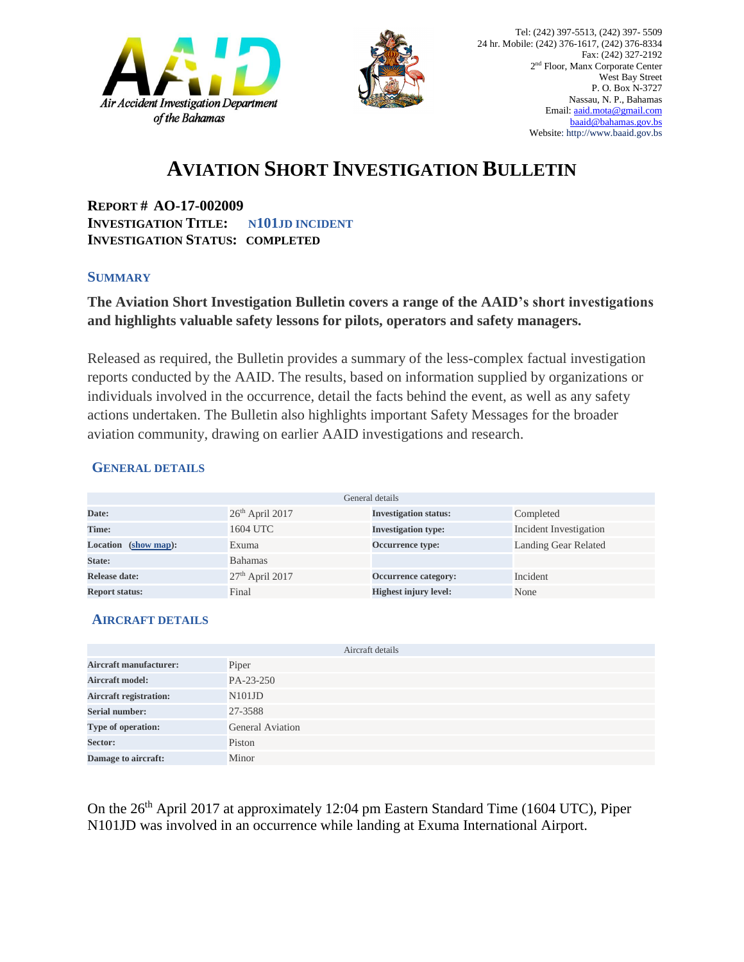



## **AVIATION SHORT INVESTIGATION BULLETIN**

**REPORT # AO-17-002009 INVESTIGATION TITLE: N101JD INCIDENT INVESTIGATION STATUS: COMPLETED** 

#### **SUMMARY**

### **The Aviation Short Investigation Bulletin covers a range of the AAID's short investigations and highlights valuable safety lessons for pilots, operators and safety managers.**

Released as required, the Bulletin provides a summary of the less-complex factual investigation reports conducted by the AAID. The results, based on information supplied by organizations or individuals involved in the occurrence, detail the facts behind the event, as well as any safety actions undertaken. The Bulletin also highlights important Safety Messages for the broader aviation community, drawing on earlier AAID investigations and research.

#### **GENERAL DETAILS**

| General details       |                   |                              |                        |
|-----------------------|-------------------|------------------------------|------------------------|
| Date:                 | $26th$ April 2017 | <b>Investigation status:</b> | Completed              |
| Time:                 | 1604 UTC          | <b>Investigation type:</b>   | Incident Investigation |
| Location (show map):  | Exuma             | <b>Occurrence type:</b>      | Landing Gear Related   |
| State:                | <b>Bahamas</b>    |                              |                        |
| Release date:         | $27th$ April 2017 | Occurrence category:         | Incident               |
| <b>Report status:</b> | Final             | <b>Highest injury level:</b> | None                   |

#### **AIRCRAFT DETAILS**

|                               | Aircraft details        |
|-------------------------------|-------------------------|
| <b>Aircraft manufacturer:</b> | Piper                   |
| <b>Aircraft model:</b>        | PA-23-250               |
| <b>Aircraft registration:</b> | N101JD                  |
| <b>Serial number:</b>         | 27-3588                 |
| Type of operation:            | <b>General Aviation</b> |
| Sector:                       | Piston                  |
| Damage to aircraft:           | Minor                   |

On the 26<sup>th</sup> April 2017 at approximately 12:04 pm Eastern Standard Time (1604 UTC), Piper N101JD was involved in an occurrence while landing at Exuma International Airport.